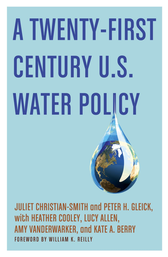# **A TWENTY-FIRST CENTURY U.S. WATER POLICY**

**JULIET CHRISTIAN-SMITH and PETER H. GLEICK,** with HEATHER COOLEY, LUCY ALLEN, AMY VANDERWARKER, and KATE A. BERRY **FOREWORD BY WILLIAM K. REILLY**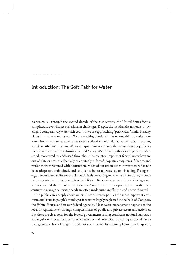## Introduction: The Soft Path for Water

 as we move through the second decade of the 21st century, the United States faces a complex and evolving set of freshwater challenges. Despite the fact that the nation is, on average, a comparatively water-rich country, we are approaching "peak water" limits in many places, for many water systems. We are reaching absolute limits on our ability to take more water from many renewable water systems like the Colorado, Sacramento-San Joaquin, and Klamath River Systems. We are overpumping non-renewable groundwater aquifers in the Great Plains and California's Central Valley. Water quality threats are poorly understood, monitored, or addressed throughout the country. Important federal water laws are out-of-date or are not effectively or equitably enforced. Aquatic ecosystems, fisheries, and wetlands are threatened with destruction. Much of our urban water infrastructure has not been adequately maintained, and confidence in our tap water system is falling. Rising energy demands and shifts toward domestic fuels are adding new demands for water, in competition with the production of food and fiber. Climate changes are already altering water availability and the risk of extreme events. And the institutions put in place in the 20th century to manage our water needs are often inadequate, inefficient, and uncoordinated.

The public cares deeply about water—it consistently polls as the most important environmental issue in people's minds, yet it remains largely neglected in the halls of Congress, the White House, and in our federal agencies. Most water management happens at the local or regional level through complex mixes of public and private actors and activities. But there are clear roles for the federal government: setting consistent national standards and regulations for water quality and environmental protection, deploying advanced monitoring systems that collect global and national data vital for disaster planning and response,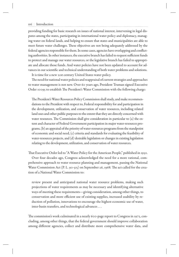#### xvi Introduction

providing funding for basic research on issues of national interest, intervening in legal disputes among the states, participating in international water policy and diplomacy, managing water on federal lands, and helping to ensure that states and municipalities are able to meet future water challenges. These objectives are not being adequately addressed by the federal agencies responsible for them. In some cases, agencies have overlapping and conflicting authorities. In other instances, the executive branch has failed to request sufficient funds to protect and manage our water resources, or the legislative branch has failed to appropriate and allocate those funds. And water policies have not been updated to account for advances in our scientific and technical understanding of both water problems and solutions.

It is time for a new 21st century United States water policy.

The need for national water policies and reappraisal of current strategies and approaches to water management is not new. Over 60 years ago, President Truman signed Executive Order 10095 to establish The President's Water Commission with the following charge:

The President's Water Resources Policy Commission shall study, and make recommendations to the President with respect to, Federal responsibility for and participation in the development, utilization, and conservation of water resources, including related land uses and other public purposes to the extent that they are directly concerned with water resources. The Commission shall give consideration in particular to  $(a)$  the extent and character of Federal Government participation in major water-resources programs, (b) an appraisal of the priority of water-resources programs from the standpoint of economic and social need, (c) criteria and standards for evaluating the feasibility of water-resources projects, and (d) desirable legislation or changes in existing legislation relating to the development, utilization, and conservation of water resources.

That Executive Order led to "A Water Policy for the American People," published in 1950. Over four decades ago, Congress acknowledged the need for a more rational, comprehensive approach to water resource planning and management, passing the National Water Commission Act  $(P, L, 90-515)$  on September 26, 1968. The act called for the creation of a National Water Commission to:

 review present and anticipated national water resource problems, making such projections of water requirements as may be necessary and identifying alternative ways of meeting these requirements—giving consideration, among other things, to conservation and more efficient use of existing supplies, increased usability by reduction of pollution, innovations to encourage the highest economic use of water, inter-basin transfers, and technological advances . . .

The commission's work culminated in a nearly 600-page report to Congress in 1973, concluding, among other things, that the federal government should improve collaboration among different agencies, collect and distribute more comprehensive water data, and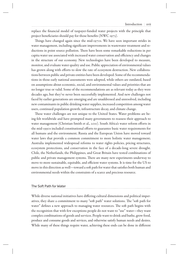replace the financial model of taxpayer-funded water projects with the principle that project beneficiaries should pay for those benefits (NWC 1973).

Things have changed again since the mid-1970s. We have seen important strides in water management, including significant improvements in wastewater treatment and reductions in point source pollution. There have been some remarkable reductions in per capita water use associated with increased water conservation and efficiency and changes in the structure of our economy. New technologies have been developed to measure, monitor, and evaluate water quality and use. Public appreciation of environmental values has grown along with efforts to slow the rate of ecosystem destruction. New collaborations between public and private entities have been developed. Some of the recommendations in those early national assessments were adopted, while others are outdated, based on assumptions about economic, social, and environmental values and priorities that are no longer true or valid. Some of the recommendations are as relevant today as they were decades ago, but they've never been successfully implemented. And new challenges not faced by earlier generations are emerging and are unaddressed and unresolved, including new contaminants in public drinking water supplies, increased competition among water users, continued population growth, infrastructure decay, and climate change.

These water challenges are not unique to the United States. Water problems are being felt worldwide and have prompted many governments to reassess their approach to water management (Christian-Smith et al., 2011). South Africa's water reform efforts in the mid-1990s included constitutional efforts to guarantee basic water requirements for all humans and the environment; Russia and the European Union have moved toward water laws that provide a common commitment to more holistic water management; Australia implemented widespread reforms to water rights policies, pricing structures, ecosystem protections, and conservation in the face of a decade-long severe drought. Chile, the Netherlands, the Philippines, and Great Britain have tested combinations of public and private management systems. There are many new experiments underway to move to more sustainable, equitable, and efficient water systems. It is time for the US to move in this direction as well—toward a soft path for water that satisfies both human and environmental needs within the constraints of a scarce and precious resource.

#### The Soft Path for Water

While diverse national initiatives have differing cultural dimensions and political imperatives, they share a commitment to many "soft path" water solutions. The "soft path for water" defines a new approach to managing water resources. The soft path begins with the recognition that with few exceptions people do not want to "use" water—they want complex combinations of goods and services. People want to drink and bathe, grow food, produce and consume goods and services, and otherwise satisfy human needs and desires. While many of these things require water, achieving these ends can be done in different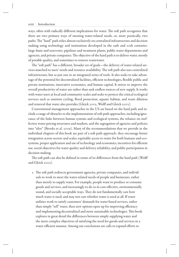#### xviii Introduction

ways, often with radically different implications for water. The soft path recognizes that there are two primary ways of meeting water-related needs, or, more poetically, two paths. The "hard" path relies almost exclusively on centralized infrastructure and decision making using technology and institutions developed in the 19th and 20th centuries: large dams and reservoirs, pipelines and treatment plants, public water departments and agencies, and private companies. The objective of the hard path is to deliver water, mostly of potable quality, and sometimes to remove wastewater.

The "soft path" has a different, broader set of goals—the delivery of water-related services matched to users' needs and resource availability. The soft path also uses centralized infrastructure, but as just one in an integrated series of tools. It also seeks to take advantage of the potential for decentralized facilities, efficient technologies, flexible public and private institutions, innovative economics, and human capital. It strives to improve the overall productivity of water use rather than seek endless sources of new supply. It works with water users at local and community scales and seeks to protect the critical ecological services such as nutrient cycling, flood protection, aquatic habitat, and waste dilution and removal that water also provides (Gleick 2002, Wolff and Gleick 2002).

 Conventional management approaches in the US are based on the hard path and include a range of obstacles to the implementation of soft -path approaches, including ignorance of the links between human systems and ecological systems, the reliance on ineffective water-pricing structures and markets, and the segregation of agencies and policies into "silos" (Brooks et al. 2009 ). Many of the recommendations that we provide in the individual chapters of this book are part of a soft -path approach: they encourage better integration across sectors and scales, equitable access to water for both humans and ecosystems, proper application and use of technology and economics, incentives for efficient use, social objectives for water quality and delivery reliability, and public participation in decision making.

The soft path can also be defined in terms of its differences from the hard path (Wolff and Gleick 2002 ).

1. The soft path redirects government agencies, private companies, and individuals to work to meet the water-related needs of people and businesses, rather than merely to supply water. For example, people want to produce or consume goods and services, and increasingly to do so in cost-effective, environmentally sound, and socially acceptable ways. They do not fundamentally care how much water is used, and may not care whether water is used at all. If water utilities work to satisfy customers' demands for water-based services, rather than simply "sell" water, then new options open up for improving efficiency and implementing decentralized and more sustainable technologies. This book explores in great detail the differences between simply supplying water and the more complex objectives of satisfying the need for goods and services in a water-efficient manner. Among our conclusions are calls to expand efforts to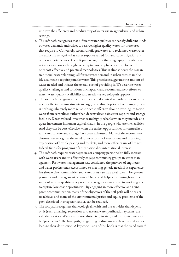improve the efficiency and productivity of water use in agricultural and urban settings.

- 2. The soft path recognizes that different water qualities can satisfy different kinds of water demands and strives to reserve higher quality water for those uses that require it. Conversely, storm runoff, graywater, and reclaimed wastewater are explicitly recognized as water supplies suited for landscape irrigation and other nonpotable uses. The soft path recognizes that single-pipe distribution networks and once-through consumptive-use appliances are no longer the only cost-effective and practical technologies. This is almost never the case in traditional water planning: all future water demand in urban areas is implicitly assumed to require potable water. This practice exaggerates the amount of water needed and inflates the overall cost of providing it. We describe water quality challenges and solutions in chapter 5 and recommend new efforts to match water quality availability and needs - a key soft-path approach.
- 3. The soft path recognizes that investments in decentralized solutions can be just as cost-effective as investments in large, centralized options. For example, there is nothing inherently more reliable or cost-effective about providing irrigation water from centralized rather than decentralized rainwater capture and storage facilities. Decentralized investments are highly reliable when they include adequate investment in human capital, that is, in the people who use the facilities. And they can be cost-effective when the easiest opportunities for centralized rainwater capture and storage have been exhausted. Many of the recommendations here recognize the need for new forms of investment and financing, exploration of flexible pricing and markets, and more efficient use of limited federal funds for programs of truly national or international interest.
- 4. The soft path requires water agencies or company personnel to fully interact with water users and to effectively engage community groups in water management. Past water management was considered the purview of engineers and water professionals accustomed to meeting generic needs. But experience has shown that communities and water users can play vital roles in long-term planning and management of water. Users need help determining how much water of various qualities they need, and neighbors may need to work together to capture low-cost opportunities. By engaging in more effective and transparent communication, many of the objectives of the soft path will be easier to achieve, and many of the environmental justice and equity problems of the past, described in chapters 3 and 4, can be reduced.
- 5. The soft path recognizes that ecological health and the activities that depend on it (such as fishing, recreation, and natural water purification systems) are valuable services. Water that is not abstracted, treated, and distributed may still be "productive." The hard path, by ignoring or discounting these natural values leads to their destruction. A key conclusion of this book is that the trend toward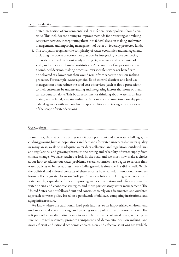### xx Introduction

better integration of environmental values in federal water policies should continue. This includes continuing to improve methods for protecting and valuing ecosystem services, incorporating them into federal decision making and water management, and improving management of water on federally protected lands.

6. The soft path recognizes the complexity of water economics and management, including the power of economies of scope, by integrating across competing interests. The hard path looks only at projects, revenues, and economies of scale, and works with limited institutions. An economy of scope exists when a combined decision-making process allows specific services or benefits to be delivered at a lower cost than would result from separate decision-making processes. For example, water agencies, flood-control districts, and land use managers can often reduce the total cost of services (such as flood protection) to their customers by understanding and integrating factors that none of them can account for alone. This book recommends thinking about water in an integrated, not isolated, way, streamlining the complex and sometimes overlapping federal agencies with water-related responsibilities, and taking a broader view of the scope of water decisions.

#### Conclusions

 In summary, the 21st century brings with it both persistent and new water challenges, including growing human populations and demands for water, unacceptable water quality in many areas, weak or inadequate water data collection and regulation, outdated laws and regulations, and growing threats to the timing and reliability of water supply from climate change. We have reached a fork in the road and we must now make a choice about how to address our water problems. Several countries have begun to reform their water policies to better address these challenges—it is time the US did as well. While the political and cultural contexts of these reforms have varied, international water reforms reflect a greater focus on "soft path" water solutions including new concepts of water supply, expanded efforts at improving water conservation and efficiency, smarter water pricing and economic strategies, and more participatory water management. The United States has not followed suit and continues to rely on a fragmented and outdated approach to water policy based on a patchwork of old laws, competing institutions, and aging infrastructure.

 We know where the traditional, hard path leads us: to an impoverished environment, undemocratic decision making, and growing social, political, and economic costs. The soft path offers an alternative: a way to satisfy human and ecological needs, reduce pressure on limited resources, promote transparent and democratic decision making, and more efficient and rational economic choices. New and effective solutions are available